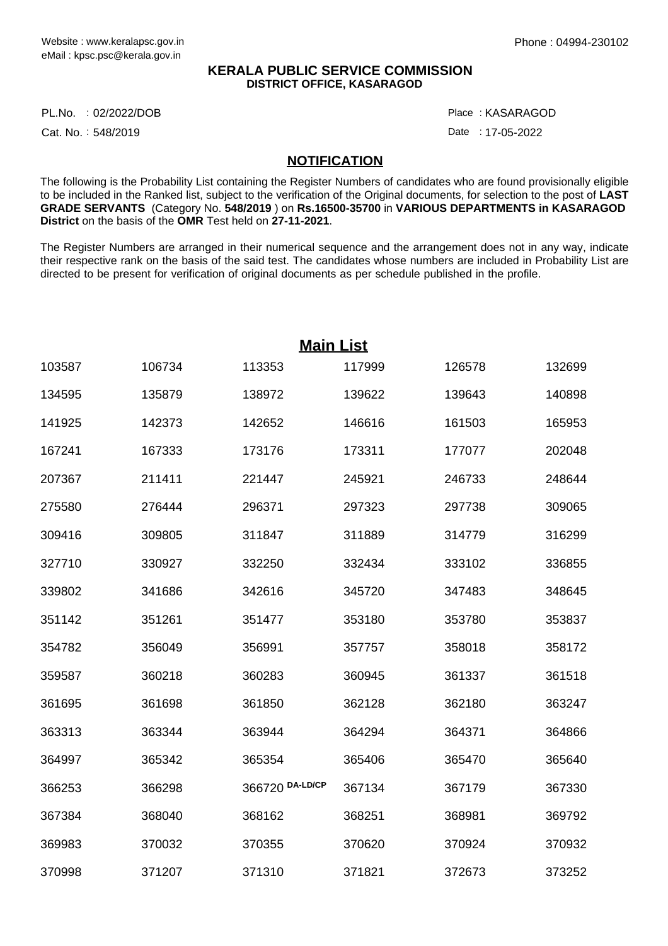## **KERALA PUBLIC SERVICE COMMISSION DISTRICT OFFICE, KASARAGOD**

PL.No. :02/2022/DOB Particle in the control of the control of the control of the control of the control of the

Cat. No.: 548/2019

: KASARAGOD

Date : 17-05-2022

## **NOTIFICATION**

The following is the Probability List containing the Register Numbers of candidates who are found provisionally eligible to be included in the Ranked list, subject to the verification of the Original documents, for selection to the post of **LAST GRADE SERVANTS** (Category No. **548/2019** ) on **Rs.16500-35700** in **VARIOUS DEPARTMENTS in KASARAGOD District** on the basis of the **OMR** Test held on **27-11-2021**.

The Register Numbers are arranged in their numerical sequence and the arrangement does not in any way, indicate their respective rank on the basis of the said test. The candidates whose numbers are included in Probability List are directed to be present for verification of original documents as per schedule published in the profile.

| <b>Main List</b> |        |                 |        |        |        |  |  |
|------------------|--------|-----------------|--------|--------|--------|--|--|
| 103587           | 106734 | 113353          | 117999 | 126578 | 132699 |  |  |
| 134595           | 135879 | 138972          | 139622 | 139643 | 140898 |  |  |
| 141925           | 142373 | 142652          | 146616 | 161503 | 165953 |  |  |
| 167241           | 167333 | 173176          | 173311 | 177077 | 202048 |  |  |
| 207367           | 211411 | 221447          | 245921 | 246733 | 248644 |  |  |
| 275580           | 276444 | 296371          | 297323 | 297738 | 309065 |  |  |
| 309416           | 309805 | 311847          | 311889 | 314779 | 316299 |  |  |
| 327710           | 330927 | 332250          | 332434 | 333102 | 336855 |  |  |
| 339802           | 341686 | 342616          | 345720 | 347483 | 348645 |  |  |
| 351142           | 351261 | 351477          | 353180 | 353780 | 353837 |  |  |
| 354782           | 356049 | 356991          | 357757 | 358018 | 358172 |  |  |
| 359587           | 360218 | 360283          | 360945 | 361337 | 361518 |  |  |
| 361695           | 361698 | 361850          | 362128 | 362180 | 363247 |  |  |
| 363313           | 363344 | 363944          | 364294 | 364371 | 364866 |  |  |
| 364997           | 365342 | 365354          | 365406 | 365470 | 365640 |  |  |
| 366253           | 366298 | 366720 DA-LD/CP | 367134 | 367179 | 367330 |  |  |
| 367384           | 368040 | 368162          | 368251 | 368981 | 369792 |  |  |
| 369983           | 370032 | 370355          | 370620 | 370924 | 370932 |  |  |
| 370998           | 371207 | 371310          | 371821 | 372673 | 373252 |  |  |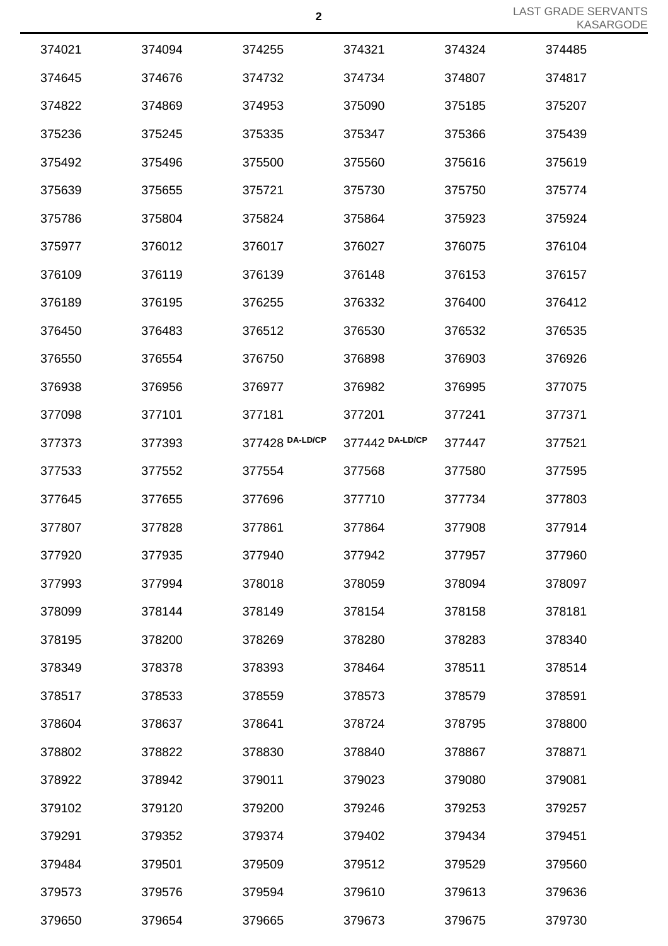LAST GRADE SERVANTS KASARGODE

|        |        |                 |                 |        | <b>INAOAI</b> |
|--------|--------|-----------------|-----------------|--------|---------------|
| 374021 | 374094 | 374255          | 374321          | 374324 | 374485        |
| 374645 | 374676 | 374732          | 374734          | 374807 | 374817        |
| 374822 | 374869 | 374953          | 375090          | 375185 | 375207        |
| 375236 | 375245 | 375335          | 375347          | 375366 | 375439        |
| 375492 | 375496 | 375500          | 375560          | 375616 | 375619        |
| 375639 | 375655 | 375721          | 375730          | 375750 | 375774        |
| 375786 | 375804 | 375824          | 375864          | 375923 | 375924        |
| 375977 | 376012 | 376017          | 376027          | 376075 | 376104        |
| 376109 | 376119 | 376139          | 376148          | 376153 | 376157        |
| 376189 | 376195 | 376255          | 376332          | 376400 | 376412        |
| 376450 | 376483 | 376512          | 376530          | 376532 | 376535        |
| 376550 | 376554 | 376750          | 376898          | 376903 | 376926        |
| 376938 | 376956 | 376977          | 376982          | 376995 | 377075        |
| 377098 | 377101 | 377181          | 377201          | 377241 | 377371        |
| 377373 | 377393 | 377428 DA-LD/CP | 377442 DA-LD/CP | 377447 | 377521        |
| 377533 | 377552 | 377554          | 377568          | 377580 | 377595        |
| 377645 | 377655 | 377696          | 377710          | 377734 | 377803        |
| 377807 | 377828 | 377861          | 377864          | 377908 | 377914        |
| 377920 | 377935 | 377940          | 377942          | 377957 | 377960        |
| 377993 | 377994 | 378018          | 378059          | 378094 | 378097        |
| 378099 | 378144 | 378149          | 378154          | 378158 | 378181        |
| 378195 | 378200 | 378269          | 378280          | 378283 | 378340        |
| 378349 | 378378 | 378393          | 378464          | 378511 | 378514        |
| 378517 | 378533 | 378559          | 378573          | 378579 | 378591        |
| 378604 | 378637 | 378641          | 378724          | 378795 | 378800        |
| 378802 | 378822 | 378830          | 378840          | 378867 | 378871        |
| 378922 | 378942 | 379011          | 379023          | 379080 | 379081        |
| 379102 | 379120 | 379200          | 379246          | 379253 | 379257        |
| 379291 | 379352 | 379374          | 379402          | 379434 | 379451        |
| 379484 | 379501 | 379509          | 379512          | 379529 | 379560        |
| 379573 | 379576 | 379594          | 379610          | 379613 | 379636        |
| 379650 | 379654 | 379665          | 379673          | 379675 | 379730        |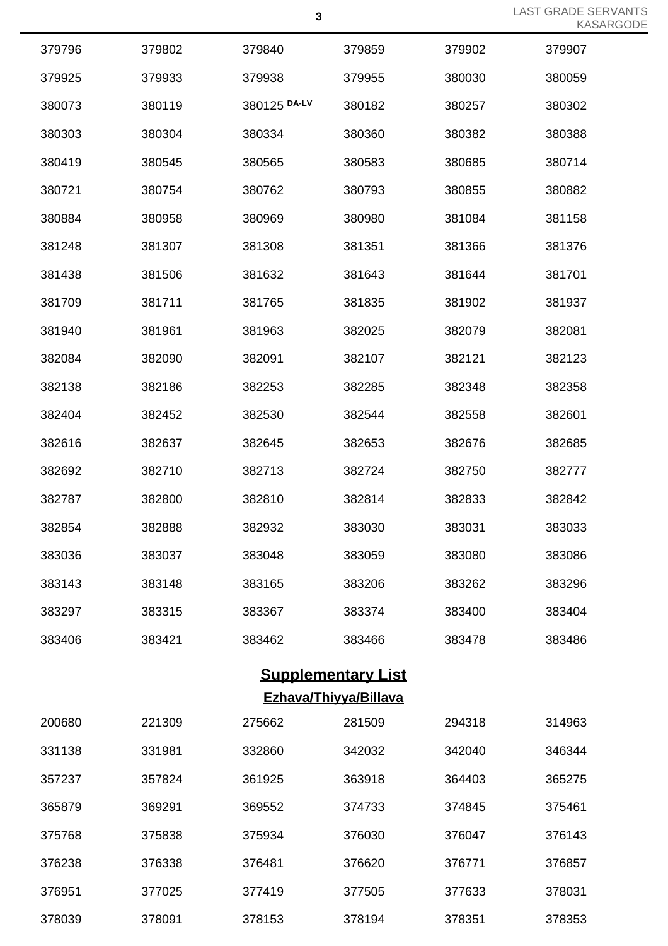LAST GRADE SERVANTS ASARGODE

| LAST GRADE SE<br>$\mathbf{3}$<br>KAS/ |        |              |                           |        |        |  |  |
|---------------------------------------|--------|--------------|---------------------------|--------|--------|--|--|
| 379796                                | 379802 | 379840       | 379859                    | 379902 | 379907 |  |  |
| 379925                                | 379933 | 379938       | 379955                    | 380030 | 380059 |  |  |
| 380073                                | 380119 | 380125 DA-LV | 380182                    | 380257 | 380302 |  |  |
| 380303                                | 380304 | 380334       | 380360                    | 380382 | 380388 |  |  |
| 380419                                | 380545 | 380565       | 380583                    | 380685 | 380714 |  |  |
| 380721                                | 380754 | 380762       | 380793                    | 380855 | 380882 |  |  |
| 380884                                | 380958 | 380969       | 380980                    | 381084 | 381158 |  |  |
| 381248                                | 381307 | 381308       | 381351                    | 381366 | 381376 |  |  |
| 381438                                | 381506 | 381632       | 381643                    | 381644 | 381701 |  |  |
| 381709                                | 381711 | 381765       | 381835                    | 381902 | 381937 |  |  |
| 381940                                | 381961 | 381963       | 382025                    | 382079 | 382081 |  |  |
| 382084                                | 382090 | 382091       | 382107                    | 382121 | 382123 |  |  |
| 382138                                | 382186 | 382253       | 382285                    | 382348 | 382358 |  |  |
| 382404                                | 382452 | 382530       | 382544                    | 382558 | 382601 |  |  |
| 382616                                | 382637 | 382645       | 382653                    | 382676 | 382685 |  |  |
| 382692                                | 382710 | 382713       | 382724                    | 382750 | 382777 |  |  |
| 382787                                | 382800 | 382810       | 382814                    | 382833 | 382842 |  |  |
| 382854                                | 382888 | 382932       | 383030                    | 383031 | 383033 |  |  |
| 383036                                | 383037 | 383048       | 383059                    | 383080 | 383086 |  |  |
| 383143                                | 383148 | 383165       | 383206                    | 383262 | 383296 |  |  |
| 383297                                | 383315 | 383367       | 383374                    | 383400 | 383404 |  |  |
| 383406                                | 383421 | 383462       | 383466                    | 383478 | 383486 |  |  |
|                                       |        |              | <b>Supplementary List</b> |        |        |  |  |
|                                       |        |              | Ezhava/Thiyya/Billava     |        |        |  |  |
| 200680                                | 221309 | 275662       | 281509                    | 294318 | 314963 |  |  |
| 331138                                | 331981 | 332860       | 342032                    | 342040 | 346344 |  |  |
| 357237                                | 357824 | 361925       | 363918                    | 364403 | 365275 |  |  |
| 365879                                | 369291 | 369552       | 374733                    | 374845 | 375461 |  |  |
| 375768                                | 375838 | 375934       | 376030                    | 376047 | 376143 |  |  |
| 376238                                | 376338 | 376481       | 376620                    | 376771 | 376857 |  |  |

377025 377419 377505 377633 378031

378091 378153 378194 378351 378353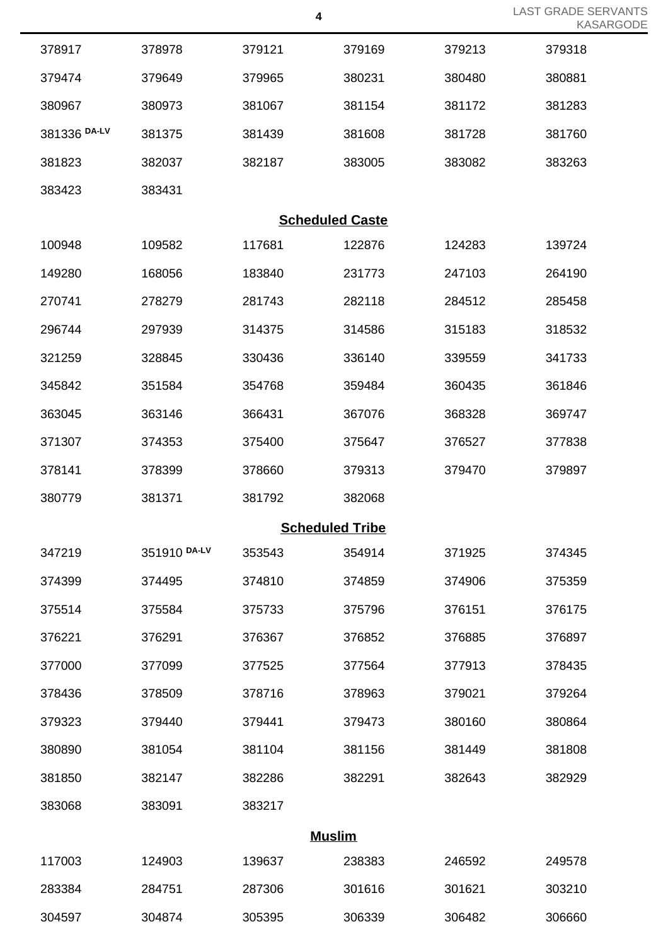|               |              |        |                        |        | <b>KASARGODE</b> |  |
|---------------|--------------|--------|------------------------|--------|------------------|--|
| 378917        | 378978       | 379121 | 379169                 | 379213 | 379318           |  |
| 379474        | 379649       | 379965 | 380231                 | 380480 | 380881           |  |
| 380967        | 380973       | 381067 | 381154                 | 381172 | 381283           |  |
| 381336 DA-LV  | 381375       | 381439 | 381608                 | 381728 | 381760           |  |
| 381823        | 382037       | 382187 | 383005                 | 383082 | 383263           |  |
| 383423        | 383431       |        |                        |        |                  |  |
|               |              |        | <b>Scheduled Caste</b> |        |                  |  |
| 100948        | 109582       | 117681 | 122876                 | 124283 | 139724           |  |
| 149280        | 168056       | 183840 | 231773                 | 247103 | 264190           |  |
| 270741        | 278279       | 281743 | 282118                 | 284512 | 285458           |  |
| 296744        | 297939       | 314375 | 314586                 | 315183 | 318532           |  |
| 321259        | 328845       | 330436 | 336140                 | 339559 | 341733           |  |
| 345842        | 351584       | 354768 | 359484                 | 360435 | 361846           |  |
| 363045        | 363146       | 366431 | 367076                 | 368328 | 369747           |  |
| 371307        | 374353       | 375400 | 375647                 | 376527 | 377838           |  |
| 378141        | 378399       | 378660 | 379313                 | 379470 | 379897           |  |
| 380779        | 381371       | 381792 | 382068                 |        |                  |  |
|               |              |        | <b>Scheduled Tribe</b> |        |                  |  |
| 347219        | 351910 DA-LV | 353543 | 354914                 | 371925 | 374345           |  |
| 374399        | 374495       | 374810 | 374859                 | 374906 | 375359           |  |
| 375514        | 375584       | 375733 | 375796                 | 376151 | 376175           |  |
| 376221        | 376291       | 376367 | 376852                 | 376885 | 376897           |  |
| 377000        | 377099       | 377525 | 377564                 | 377913 | 378435           |  |
| 378436        | 378509       | 378716 | 378963                 | 379021 | 379264           |  |
| 379323        | 379440       | 379441 | 379473                 | 380160 | 380864           |  |
| 380890        | 381054       | 381104 | 381156                 | 381449 | 381808           |  |
| 381850        | 382147       | 382286 | 382291                 | 382643 | 382929           |  |
| 383068        | 383091       | 383217 |                        |        |                  |  |
| <b>Muslim</b> |              |        |                        |        |                  |  |
| 117003        | 124903       | 139637 | 238383                 | 246592 | 249578           |  |
| 283384        | 284751       | 287306 | 301616                 | 301621 | 303210           |  |
|               |              |        |                        |        |                  |  |

304874 305395 306339 306482 306660

LAST GRADE SERVANTS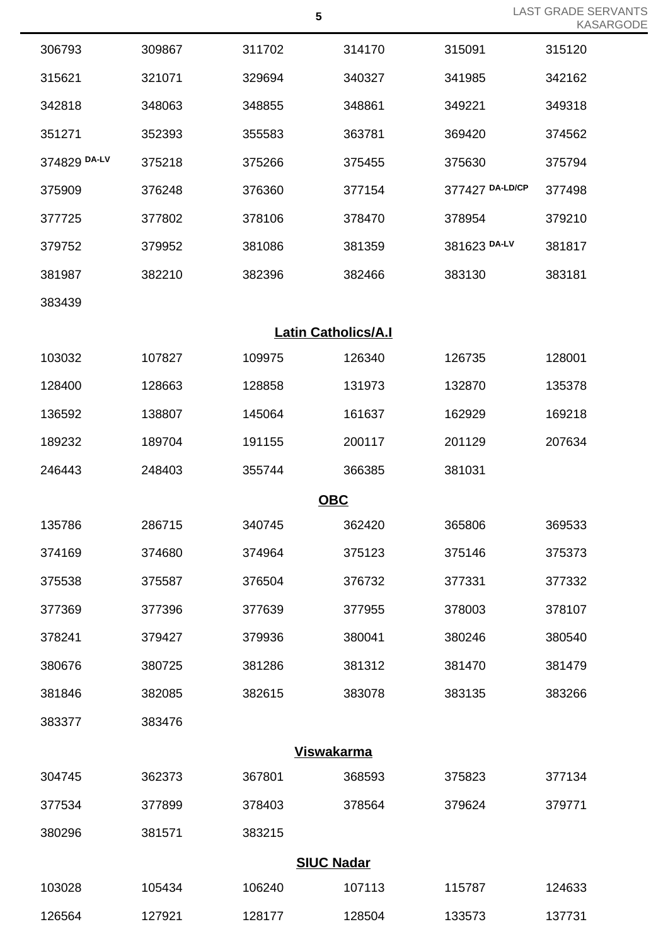|              |        |        | $\sqrt{5}$                 |                 | <b>LAST GRADE SE</b><br><b>KAS</b> |
|--------------|--------|--------|----------------------------|-----------------|------------------------------------|
| 306793       | 309867 | 311702 | 314170                     | 315091          | 315120                             |
| 315621       | 321071 | 329694 | 340327                     | 341985          | 342162                             |
| 342818       | 348063 | 348855 | 348861                     | 349221          | 349318                             |
| 351271       | 352393 | 355583 | 363781                     | 369420          | 374562                             |
| 374829 DA-LV | 375218 | 375266 | 375455                     | 375630          | 375794                             |
| 375909       | 376248 | 376360 | 377154                     | 377427 DA-LD/CP | 377498                             |
| 377725       | 377802 | 378106 | 378470                     | 378954          | 379210                             |
| 379752       | 379952 | 381086 | 381359                     | 381623 DA-LV    | 381817                             |
| 381987       | 382210 | 382396 | 382466                     | 383130          | 383181                             |
| 383439       |        |        |                            |                 |                                    |
|              |        |        | <b>Latin Catholics/A.I</b> |                 |                                    |
| 103032       | 107827 | 109975 | 126340                     | 126735          | 128001                             |
| 128400       | 128663 | 128858 | 131973                     | 132870          | 135378                             |
| 136592       | 138807 | 145064 | 161637                     | 162929          | 169218                             |
| 189232       | 189704 | 191155 | 200117                     | 201129          | 207634                             |
| 246443       | 248403 | 355744 | 366385                     | 381031          |                                    |
|              |        |        | <b>OBC</b>                 |                 |                                    |
| 135786       | 286715 | 340745 | 362420                     | 365806          | 369533                             |
| 374169       | 374680 | 374964 | 375123                     | 375146          | 375373                             |
| 375538       | 375587 | 376504 | 376732                     | 377331          | 377332                             |
| 377369       | 377396 | 377639 | 377955                     | 378003          | 378107                             |
| 378241       | 379427 | 379936 | 380041                     | 380246          | 380540                             |
| 380676       | 380725 | 381286 | 381312                     | 381470          | 381479                             |
| 381846       | 382085 | 382615 | 383078                     | 383135          | 383266                             |
| 383377       | 383476 |        |                            |                 |                                    |
|              |        |        | <b>Viswakarma</b>          |                 |                                    |
| 304745       | 362373 | 367801 | 368593                     | 375823          | 377134                             |
| 377534       | 377899 | 378403 | 378564                     | 379624          | 379771                             |
| 380296       | 381571 | 383215 |                            |                 |                                    |
|              |        |        | <b>SIUC Nadar</b>          |                 |                                    |
| 103028       | 105434 | 106240 | 107113                     | 115787          | 124633                             |
| 126564       | 127921 | 128177 | 128504                     | 133573          | 137731                             |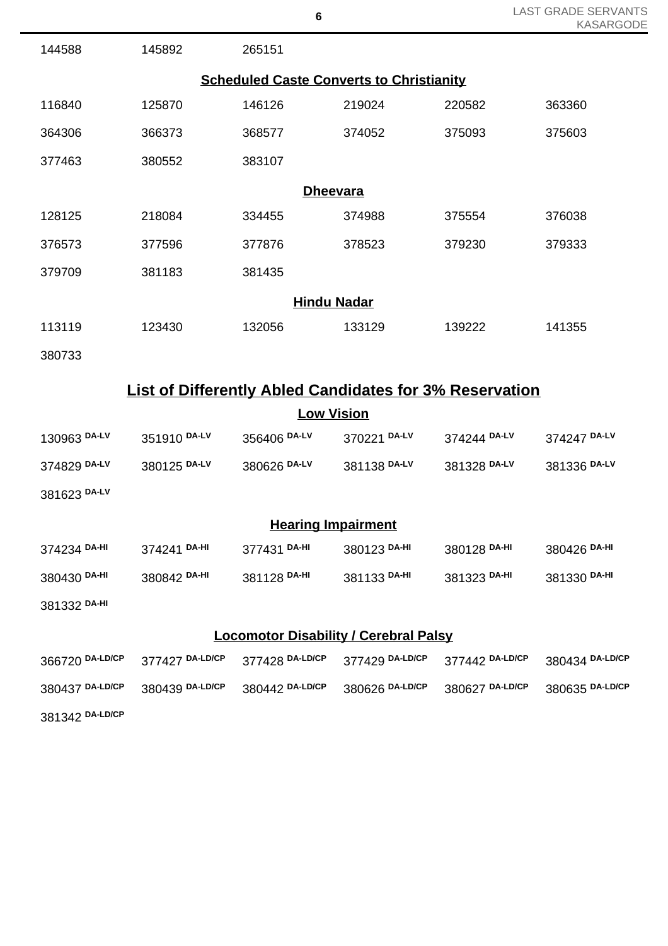|                                                                |                    |                 |                 |                 | KASARGC         |  |  |  |
|----------------------------------------------------------------|--------------------|-----------------|-----------------|-----------------|-----------------|--|--|--|
| 144588                                                         | 145892             | 265151          |                 |                 |                 |  |  |  |
| <b>Scheduled Caste Converts to Christianity</b>                |                    |                 |                 |                 |                 |  |  |  |
| 116840                                                         | 125870             | 146126          | 219024          | 220582          | 363360          |  |  |  |
| 364306                                                         | 366373             | 368577          | 374052          | 375093          | 375603          |  |  |  |
| 377463                                                         | 380552             | 383107          |                 |                 |                 |  |  |  |
|                                                                |                    | <b>Dheevara</b> |                 |                 |                 |  |  |  |
| 128125                                                         | 218084             | 334455          | 374988          | 375554          | 376038          |  |  |  |
| 376573                                                         | 377596             | 377876          | 378523          | 379230          | 379333          |  |  |  |
| 379709                                                         | 381183             | 381435          |                 |                 |                 |  |  |  |
|                                                                | <b>Hindu Nadar</b> |                 |                 |                 |                 |  |  |  |
| 113119                                                         | 123430             | 132056          | 133129          | 139222          | 141355          |  |  |  |
| 380733                                                         |                    |                 |                 |                 |                 |  |  |  |
| <b>List of Differently Abled Candidates for 3% Reservation</b> |                    |                 |                 |                 |                 |  |  |  |
| <b>Low Vision</b>                                              |                    |                 |                 |                 |                 |  |  |  |
| 130963 DA-LV                                                   | 351910 DA-LV       | 356406 DA-LV    | 370221 DA-LV    | 374244 DA-LV    | 374247 DA-LV    |  |  |  |
| 374829 DA-LV                                                   | 380125 DA-LV       | 380626 DA-LV    | 381138 DA-LV    | 381328 DA-LV    | 381336 DA-LV    |  |  |  |
| 381623 DA-LV                                                   |                    |                 |                 |                 |                 |  |  |  |
| <b>Hearing Impairment</b>                                      |                    |                 |                 |                 |                 |  |  |  |
| 374234 DA-HI                                                   | 374241 DA-HI       | 377431 DA-HI    | 380123 DA-HI    | 380128 DA-HI    | 380426 DA-HI    |  |  |  |
| 380430 DA-HI                                                   | 380842 DA-HI       | 381128 DA-HI    | 381133 DA-HI    | 381323 DA-HI    | 381330 DA-HI    |  |  |  |
| 381332 DA-HI                                                   |                    |                 |                 |                 |                 |  |  |  |
| <b>Locomotor Disability / Cerebral Palsy</b>                   |                    |                 |                 |                 |                 |  |  |  |
| 366720 DA-LD/CP                                                | 377427 DA-LD/CP    | 377428 DA-LD/CP | 377429 DA-LD/CP | 377442 DA-LD/CP | 380434 DA-LD/CP |  |  |  |
| 380437 DA-LD/CP                                                | 380439 DA-LD/CP    | 380442 DA-LD/CP | 380626 DA-LD/CP | 380627 DA-LD/CP | 380635 DA-LD/CP |  |  |  |
|                                                                |                    |                 |                 |                 |                 |  |  |  |

**DA-LD/CP**